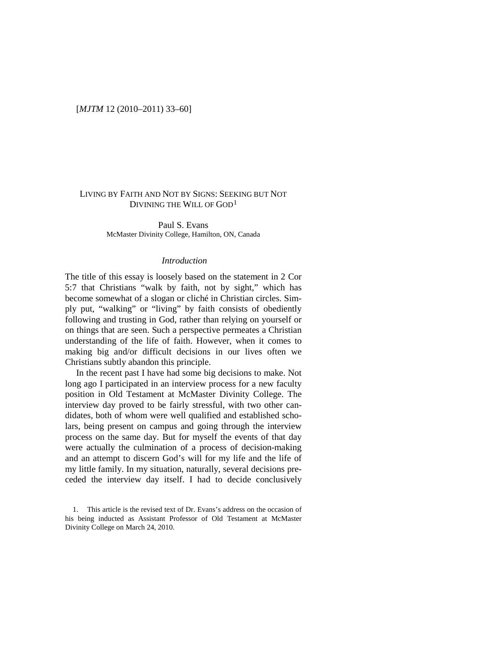### [*MJTM* 12 (2010–2011) 33–60]

## LIVING BY FAITH AND NOT BY SIGNS: SEEKING BUT NOT DIVINING THE WILL OF GOD<sup>[1](#page-0-0)</sup>

Paul S. Evans McMaster Divinity College, Hamilton, ON, Canada

#### *Introduction*

The title of this essay is loosely based on the statement in 2 Cor 5:7 that Christians "walk by faith, not by sight," which has become somewhat of a slogan or cliché in Christian circles. Simply put, "walking" or "living" by faith consists of obediently following and trusting in God, rather than relying on yourself or on things that are seen. Such a perspective permeates a Christian understanding of the life of faith. However, when it comes to making big and/or difficult decisions in our lives often we Christians subtly abandon this principle.

In the recent past I have had some big decisions to make. Not long ago I participated in an interview process for a new faculty position in Old Testament at McMaster Divinity College. The interview day proved to be fairly stressful, with two other candidates, both of whom were well qualified and established scholars, being present on campus and going through the interview process on the same day. But for myself the events of that day were actually the culmination of a process of decision-making and an attempt to discern God's will for my life and the life of my little family. In my situation, naturally, several decisions preceded the interview day itself. I had to decide conclusively

<span id="page-0-0"></span><sup>1.</sup> This article is the revised text of Dr. Evans's address on the occasion of his being inducted as Assistant Professor of Old Testament at McMaster Divinity College on March 24, 2010.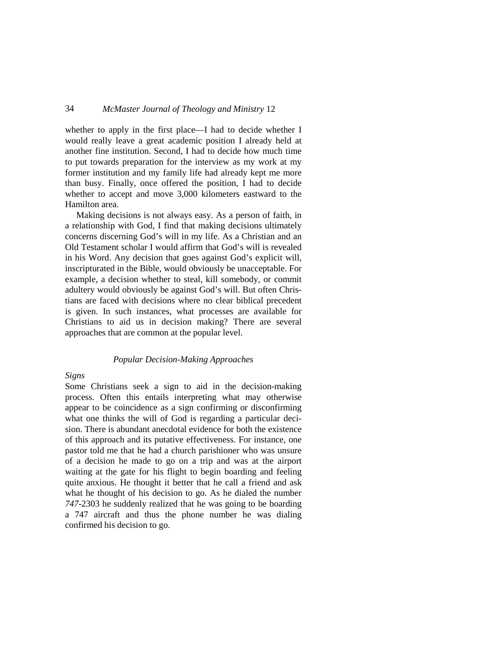whether to apply in the first place—I had to decide whether I would really leave a great academic position I already held at another fine institution. Second, I had to decide how much time to put towards preparation for the interview as my work at my former institution and my family life had already kept me more than busy. Finally, once offered the position, I had to decide whether to accept and move 3,000 kilometers eastward to the Hamilton area.

Making decisions is not always easy. As a person of faith, in a relationship with God, I find that making decisions ultimately concerns discerning God's will in my life. As a Christian and an Old Testament scholar I would affirm that God's will is revealed in his Word. Any decision that goes against God's explicit will, inscripturated in the Bible, would obviously be unacceptable. For example, a decision whether to steal, kill somebody, or commit adultery would obviously be against God's will. But often Christians are faced with decisions where no clear biblical precedent is given. In such instances, what processes are available for Christians to aid us in decision making? There are several approaches that are common at the popular level.

#### *Popular Decision-Making Approaches*

### *Signs*

Some Christians seek a sign to aid in the decision-making process. Often this entails interpreting what may otherwise appear to be coincidence as a sign confirming or disconfirming what one thinks the will of God is regarding a particular decision. There is abundant anecdotal evidence for both the existence of this approach and its putative effectiveness. For instance, one pastor told me that he had a church parishioner who was unsure of a decision he made to go on a trip and was at the airport waiting at the gate for his flight to begin boarding and feeling quite anxious. He thought it better that he call a friend and ask what he thought of his decision to go. As he dialed the number *747*-2303 he suddenly realized that he was going to be boarding a 747 aircraft and thus the phone number he was dialing confirmed his decision to go.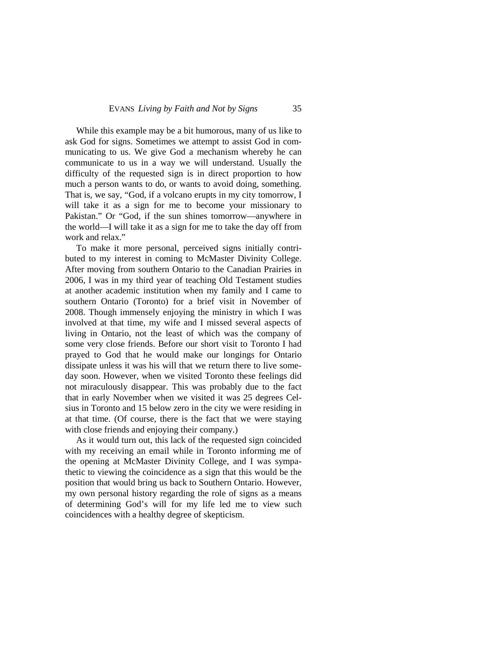While this example may be a bit humorous, many of us like to ask God for signs. Sometimes we attempt to assist God in communicating to us. We give God a mechanism whereby he can communicate to us in a way we will understand. Usually the difficulty of the requested sign is in direct proportion to how much a person wants to do, or wants to avoid doing, something. That is, we say, "God, if a volcano erupts in my city tomorrow, I will take it as a sign for me to become your missionary to Pakistan." Or "God, if the sun shines tomorrow—anywhere in the world—I will take it as a sign for me to take the day off from work and relax."

To make it more personal, perceived signs initially contributed to my interest in coming to McMaster Divinity College. After moving from southern Ontario to the Canadian Prairies in 2006, I was in my third year of teaching Old Testament studies at another academic institution when my family and I came to southern Ontario (Toronto) for a brief visit in November of 2008. Though immensely enjoying the ministry in which I was involved at that time, my wife and I missed several aspects of living in Ontario, not the least of which was the company of some very close friends. Before our short visit to Toronto I had prayed to God that he would make our longings for Ontario dissipate unless it was his will that we return there to live someday soon. However, when we visited Toronto these feelings did not miraculously disappear. This was probably due to the fact that in early November when we visited it was 25 degrees Celsius in Toronto and 15 below zero in the city we were residing in at that time. (Of course, there is the fact that we were staying with close friends and enjoying their company.)

As it would turn out, this lack of the requested sign coincided with my receiving an email while in Toronto informing me of the opening at McMaster Divinity College, and I was sympathetic to viewing the coincidence as a sign that this would be the position that would bring us back to Southern Ontario. However, my own personal history regarding the role of signs as a means of determining God's will for my life led me to view such coincidences with a healthy degree of skepticism.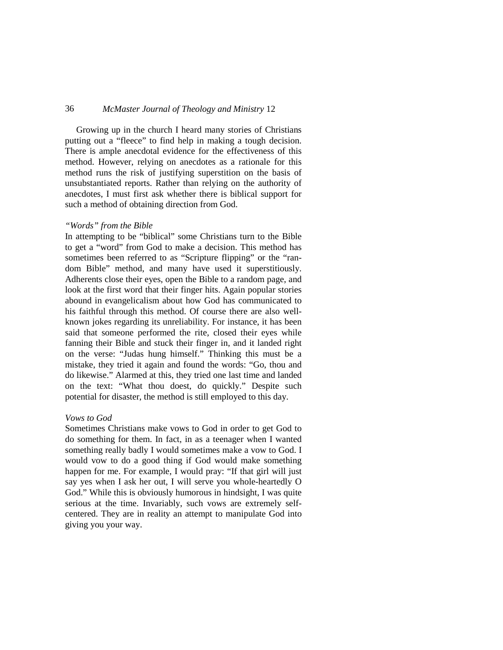Growing up in the church I heard many stories of Christians putting out a "fleece" to find help in making a tough decision. There is ample anecdotal evidence for the effectiveness of this method. However, relying on anecdotes as a rationale for this method runs the risk of justifying superstition on the basis of unsubstantiated reports. Rather than relying on the authority of anecdotes, I must first ask whether there is biblical support for such a method of obtaining direction from God.

#### *"Words" from the Bible*

In attempting to be "biblical" some Christians turn to the Bible to get a "word" from God to make a decision. This method has sometimes been referred to as "Scripture flipping" or the "random Bible" method, and many have used it superstitiously. Adherents close their eyes, open the Bible to a random page, and look at the first word that their finger hits. Again popular stories abound in evangelicalism about how God has communicated to his faithful through this method. Of course there are also wellknown jokes regarding its unreliability. For instance, it has been said that someone performed the rite, closed their eyes while fanning their Bible and stuck their finger in, and it landed right on the verse: "Judas hung himself." Thinking this must be a mistake, they tried it again and found the words: "Go, thou and do likewise." Alarmed at this, they tried one last time and landed on the text: "What thou doest, do quickly." Despite such potential for disaster, the method is still employed to this day.

### *Vows to God*

Sometimes Christians make vows to God in order to get God to do something for them. In fact, in as a teenager when I wanted something really badly I would sometimes make a vow to God. I would vow to do a good thing if God would make something happen for me. For example, I would pray: "If that girl will just say yes when I ask her out, I will serve you whole-heartedly O God." While this is obviously humorous in hindsight, I was quite serious at the time. Invariably, such vows are extremely selfcentered. They are in reality an attempt to manipulate God into giving you your way.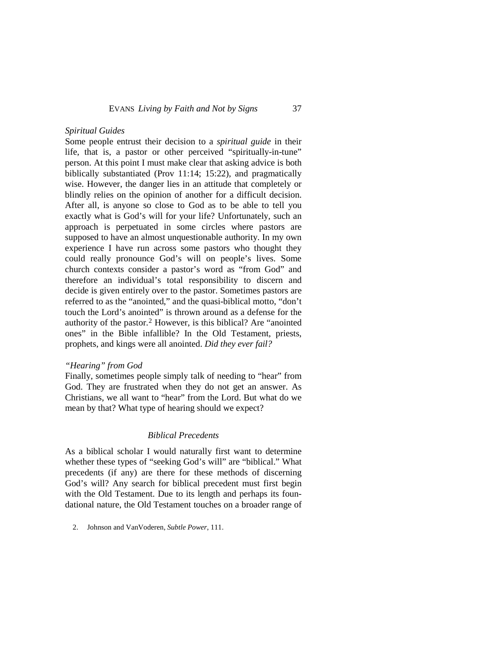### *Spiritual Guides*

Some people entrust their decision to a *spiritual guide* in their life, that is, a pastor or other perceived "spiritually-in-tune" person. At this point I must make clear that asking advice is both biblically substantiated (Prov 11:14; 15:22), and pragmatically wise. However, the danger lies in an attitude that completely or blindly relies on the opinion of another for a difficult decision. After all, is anyone so close to God as to be able to tell you exactly what is God's will for your life? Unfortunately, such an approach is perpetuated in some circles where pastors are supposed to have an almost unquestionable authority. In my own experience I have run across some pastors who thought they could really pronounce God's will on people's lives. Some church contexts consider a pastor's word as "from God" and therefore an individual's total responsibility to discern and decide is given entirely over to the pastor. Sometimes pastors are referred to as the "anointed," and the quasi-biblical motto, "don't touch the Lord's anointed" is thrown around as a defense for the authority of the pastor.[2](#page-4-0) However, is this biblical? Are "anointed ones" in the Bible infallible? In the Old Testament, priests, prophets, and kings were all anointed. *Did they ever fail?*

#### *"Hearing" from God*

Finally, sometimes people simply talk of needing to "hear" from God. They are frustrated when they do not get an answer. As Christians, we all want to "hear" from the Lord. But what do we mean by that? What type of hearing should we expect?

#### *Biblical Precedents*

As a biblical scholar I would naturally first want to determine whether these types of "seeking God's will" are "biblical." What precedents (if any) are there for these methods of discerning God's will? Any search for biblical precedent must first begin with the Old Testament. Due to its length and perhaps its foundational nature, the Old Testament touches on a broader range of

<span id="page-4-0"></span><sup>2.</sup> Johnson and VanVoderen, *Subtle Power*, 111.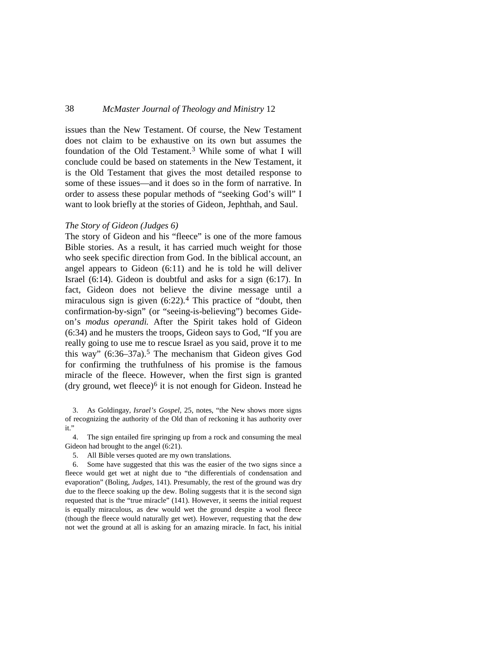issues than the New Testament. Of course, the New Testament does not claim to be exhaustive on its own but assumes the foundation of the Old Testament.[3](#page-5-0) While some of what I will conclude could be based on statements in the New Testament, it is the Old Testament that gives the most detailed response to some of these issues—and it does so in the form of narrative. In order to assess these popular methods of "seeking God's will" I want to look briefly at the stories of Gideon, Jephthah, and Saul.

#### *The Story of Gideon (Judges 6)*

The story of Gideon and his "fleece" is one of the more famous Bible stories. As a result, it has carried much weight for those who seek specific direction from God. In the biblical account, an angel appears to Gideon (6:11) and he is told he will deliver Israel (6:14). Gideon is doubtful and asks for a sign (6:17). In fact, Gideon does not believe the divine message until a miraculous sign is given  $(6:22)$ .<sup>[4](#page-5-1)</sup> This practice of "doubt, then confirmation-by-sign" (or "seeing-is-believing") becomes Gideon's *modus operandi.* After the Spirit takes hold of Gideon (6:34) and he musters the troops, Gideon says to God, "If you are really going to use me to rescue Israel as you said, prove it to me this way"  $(6:36-37a)$ .<sup>[5](#page-5-2)</sup> The mechanism that Gideon gives God for confirming the truthfulness of his promise is the famous miracle of the fleece. However, when the first sign is granted (dry ground, wet fleece)<sup>6</sup> it is not enough for Gideon. Instead he

<span id="page-5-0"></span>3. As Goldingay, *Israel's Gospel*, 25, notes, "the New shows more signs of recognizing the authority of the Old than of reckoning it has authority over it."

<span id="page-5-1"></span>4. The sign entailed fire springing up from a rock and consuming the meal Gideon had brought to the angel (6:21).

5. All Bible verses quoted are my own translations.

<span id="page-5-3"></span><span id="page-5-2"></span>6. Some have suggested that this was the easier of the two signs since a fleece would get wet at night due to "the differentials of condensation and evaporation" (Boling, *Judges*, 141). Presumably, the rest of the ground was dry due to the fleece soaking up the dew. Boling suggests that it is the second sign requested that is the "true miracle" (141). However, it seems the initial request is equally miraculous, as dew would wet the ground despite a wool fleece (though the fleece would naturally get wet). However, requesting that the dew not wet the ground at all is asking for an amazing miracle. In fact, his initial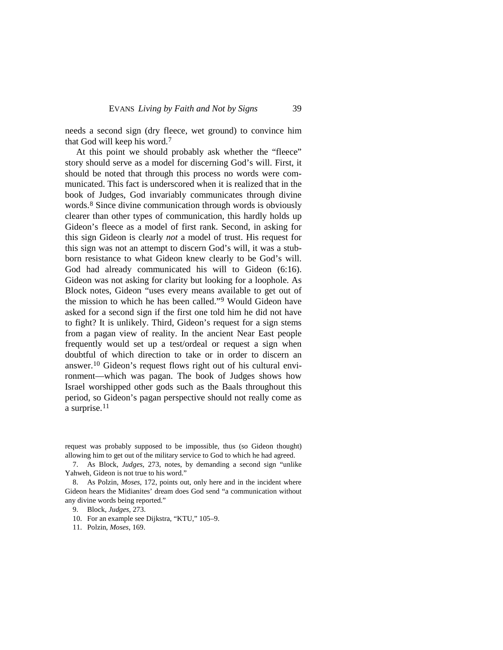needs a second sign (dry fleece, wet ground) to convince him that God will keep his word.[7](#page-6-0)

At this point we should probably ask whether the "fleece" story should serve as a model for discerning God's will. First, it should be noted that through this process no words were communicated. This fact is underscored when it is realized that in the book of Judges, God invariably communicates through divine words.[8](#page-6-1) Since divine communication through words is obviously clearer than other types of communication, this hardly holds up Gideon's fleece as a model of first rank. Second, in asking for this sign Gideon is clearly *not* a model of trust. His request for this sign was not an attempt to discern God's will, it was a stubborn resistance to what Gideon knew clearly to be God's will. God had already communicated his will to Gideon (6:16). Gideon was not asking for clarity but looking for a loophole. As Block notes, Gideon "uses every means available to get out of the mission to which he has been called."[9](#page-6-2) Would Gideon have asked for a second sign if the first one told him he did not have to fight? It is unlikely. Third, Gideon's request for a sign stems from a pagan view of reality. In the ancient Near East people frequently would set up a test/ordeal or request a sign when doubtful of which direction to take or in order to discern an answer.[10](#page-6-3) Gideon's request flows right out of his cultural environment—which was pagan. The book of Judges shows how Israel worshipped other gods such as the Baals throughout this period, so Gideon's pagan perspective should not really come as a surprise.[11](#page-7-0)

request was probably supposed to be impossible, thus (so Gideon thought) allowing him to get out of the military service to God to which he had agreed.

<span id="page-6-0"></span>7. As Block, *Judges*, 273, notes, by demanding a second sign "unlike Yahweh, Gideon is not true to his word."

<span id="page-6-2"></span><span id="page-6-1"></span>8. As Polzin, *Moses*, 172, points out, only here and in the incident where Gideon hears the Midianites' dream does God send "a communication without any divine words being reported."

9. Block, *Judges*, 273.

<span id="page-6-3"></span>10. For an example see Dijkstra, "KTU," 105–9.

11. Polzin, *Moses*, 169.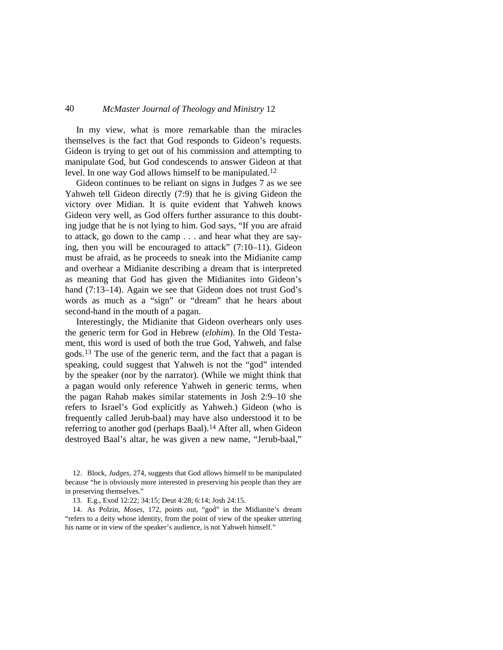In my view, what is more remarkable than the miracles themselves is the fact that God responds to Gideon's requests. Gideon is trying to get out of his commission and attempting to manipulate God, but God condescends to answer Gideon at that level. In one way God allows himself to be manipulated.[12](#page-7-1)

Gideon continues to be reliant on signs in Judges 7 as we see Yahweh tell Gideon directly (7:9) that he is giving Gideon the victory over Midian. It is quite evident that Yahweh knows Gideon very well, as God offers further assurance to this doubting judge that he is not lying to him. God says, "If you are afraid to attack, go down to the camp . . . and hear what they are saying, then you will be encouraged to attack" (7:10–11). Gideon must be afraid, as he proceeds to sneak into the Midianite camp and overhear a Midianite describing a dream that is interpreted as meaning that God has given the Midianites into Gideon's hand (7:13–14). Again we see that Gideon does not trust God's words as much as a "sign" or "dream" that he hears about second-hand in the mouth of a pagan.

Interestingly, the Midianite that Gideon overhears only uses the generic term for God in Hebrew (*elohim*). In the Old Testament, this word is used of both the true God, Yahweh, and false gods.[13](#page-7-2) The use of the generic term, and the fact that a pagan is speaking, could suggest that Yahweh is not the "god" intended by the speaker (nor by the narrator). (While we might think that a pagan would only reference Yahweh in generic terms, when the pagan Rahab makes similar statements in Josh 2:9–10 she refers to Israel's God explicitly as Yahweh.) Gideon (who is frequently called Jerub-baal) may have also understood it to be referring to another god (perhaps Baal).<sup>[14](#page-8-0)</sup> After all, when Gideon destroyed Baal's altar, he was given a new name, "Jerub-baal,"

<span id="page-7-1"></span>12. Block, *Judges*, 274, suggests that God allows himself to be manipulated because "he is obviously more interested in preserving his people than they are in preserving themselves."

13. E.g., Exod 12:22; 34:15; Deut 4:28; 6:14; Josh 24:15.

<span id="page-7-2"></span><span id="page-7-0"></span>14. As Polzin, *Moses*, 172, points out, "god" in the Midianite's dream "refers to a deity whose identity, from the point of view of the speaker uttering his name or in view of the speaker's audience, is not Yahweh himself."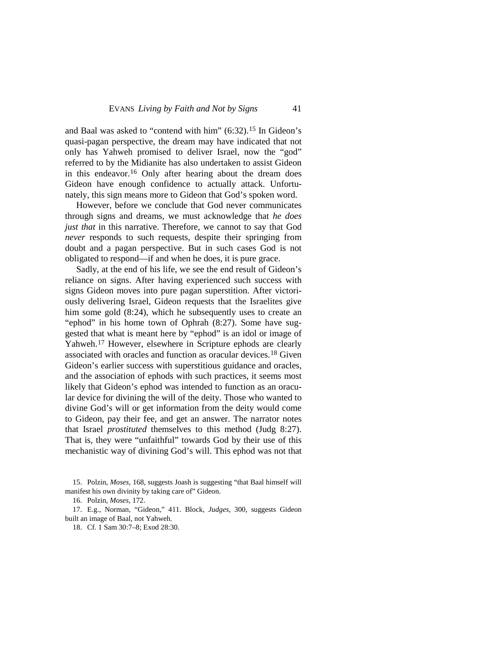and Baal was asked to "contend with him" (6:32).[15](#page-8-1) In Gideon's quasi-pagan perspective, the dream may have indicated that not only has Yahweh promised to deliver Israel, now the "god" referred to by the Midianite has also undertaken to assist Gideon in this endeavor.<sup>[16](#page-8-2)</sup> Only after hearing about the dream does Gideon have enough confidence to actually attack. Unfortunately, this sign means more to Gideon that God's spoken word.

However, before we conclude that God never communicates through signs and dreams, we must acknowledge that *he does just that* in this narrative. Therefore, we cannot to say that God *never* responds to such requests, despite their springing from doubt and a pagan perspective. But in such cases God is not obligated to respond—if and when he does, it is pure grace.

Sadly, at the end of his life, we see the end result of Gideon's reliance on signs. After having experienced such success with signs Gideon moves into pure pagan superstition. After victoriously delivering Israel, Gideon requests that the Israelites give him some gold  $(8:24)$ , which he subsequently uses to create an "ephod" in his home town of Ophrah (8:27). Some have suggested that what is meant here by "ephod" is an idol or image of Yahweh.[17](#page-8-0) However, elsewhere in Scripture ephods are clearly associated with oracles and function as oracular devices.[18](#page-8-3) Given Gideon's earlier success with superstitious guidance and oracles, and the association of ephods with such practices, it seems most likely that Gideon's ephod was intended to function as an oracular device for divining the will of the deity. Those who wanted to divine God's will or get information from the deity would come to Gideon, pay their fee, and get an answer. The narrator notes that Israel *prostituted* themselves to this method (Judg 8:27). That is, they were "unfaithful" towards God by their use of this mechanistic way of divining God's will. This ephod was not that

<span id="page-8-3"></span><span id="page-8-2"></span><span id="page-8-0"></span>17. E.g., Norman, "Gideon," 411. Block, *Judges*, 300, suggests Gideon built an image of Baal, not Yahweh.

18. Cf. 1 Sam 30:7–8; Exod 28:30.

<span id="page-8-1"></span><sup>15.</sup> Polzin, *Moses*, 168, suggests Joash is suggesting "that Baal himself will manifest his own divinity by taking care of" Gideon.

<sup>16.</sup> Polzin, *Moses,* 172.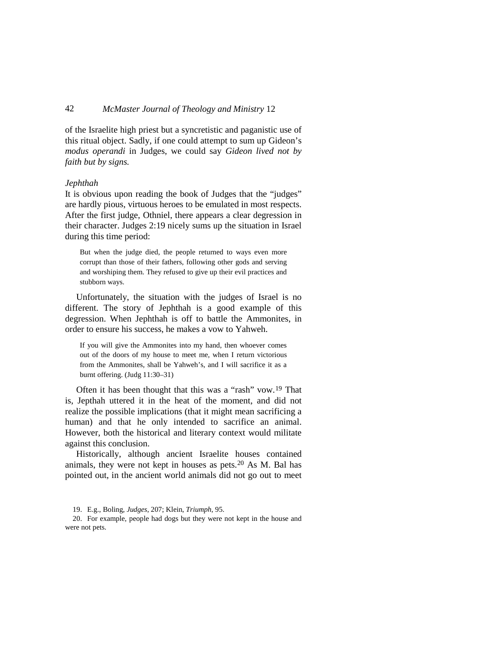of the Israelite high priest but a syncretistic and paganistic use of this ritual object. Sadly, if one could attempt to sum up Gideon's *modus operandi* in Judges, we could say *Gideon lived not by faith but by signs.*

#### *Jephthah*

It is obvious upon reading the book of Judges that the "judges" are hardly pious, virtuous heroes to be emulated in most respects. After the first judge, Othniel, there appears a clear degression in their character. Judges 2:19 nicely sums up the situation in Israel during this time period:

But when the judge died, the people returned to ways even more corrupt than those of their fathers, following other gods and serving and worshiping them. They refused to give up their evil practices and stubborn ways.

Unfortunately, the situation with the judges of Israel is no different. The story of Jephthah is a good example of this degression. When Jephthah is off to battle the Ammonites, in order to ensure his success, he makes a vow to Yahweh.

If you will give the Ammonites into my hand, then whoever comes out of the doors of my house to meet me, when I return victorious from the Ammonites, shall be Yahweh's, and I will sacrifice it as a burnt offering. (Judg 11:30–31)

Often it has been thought that this was a "rash" vow.[19](#page-9-0) That is, Jepthah uttered it in the heat of the moment, and did not realize the possible implications (that it might mean sacrificing a human) and that he only intended to sacrifice an animal. However, both the historical and literary context would militate against this conclusion.

Historically, although ancient Israelite houses contained animals, they were not kept in houses as pets. [20](#page-10-0) As M. Bal has pointed out, in the ancient world animals did not go out to meet

<span id="page-9-0"></span>20. For example, people had dogs but they were not kept in the house and were not pets.

<sup>19.</sup> E.g., Boling, *Judges*, 207; Klein, *Triumph*, 95.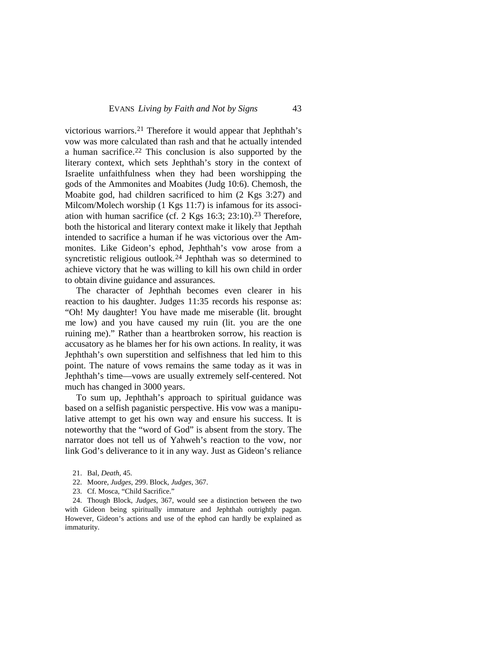victorious warriors.[21](#page-10-1) Therefore it would appear that Jephthah's vow was more calculated than rash and that he actually intended a human sacrifice[.22](#page-10-2) This conclusion is also supported by the literary context, which sets Jephthah's story in the context of Israelite unfaithfulness when they had been worshipping the gods of the Ammonites and Moabites (Judg 10:6). Chemosh, the Moabite god, had children sacrificed to him (2 Kgs 3:27) and Milcom/Molech worship (1 Kgs 11:7) is infamous for its association with human sacrifice (cf. 2 Kgs  $16:3$ ;  $23:10$ ).<sup>23</sup> Therefore, both the historical and literary context make it likely that Jepthah intended to sacrifice a human if he was victorious over the Ammonites. Like Gideon's ephod, Jephthah's vow arose from a syncretistic religious outlook.<sup>[24](#page-10-4)</sup> Jephthah was so determined to achieve victory that he was willing to kill his own child in order to obtain divine guidance and assurances.

The character of Jephthah becomes even clearer in his reaction to his daughter. Judges 11:35 records his response as: "Oh! My daughter! You have made me miserable (lit. brought me low) and you have caused my ruin (lit. you are the one ruining me)." Rather than a heartbroken sorrow, his reaction is accusatory as he blames her for his own actions. In reality, it was Jephthah's own superstition and selfishness that led him to this point. The nature of vows remains the same today as it was in Jephthah's time—vows are usually extremely self-centered. Not much has changed in 3000 years.

To sum up, Jephthah's approach to spiritual guidance was based on a selfish paganistic perspective. His vow was a manipulative attempt to get his own way and ensure his success. It is noteworthy that the "word of God" is absent from the story. The narrator does not tell us of Yahweh's reaction to the vow, nor link God's deliverance to it in any way. Just as Gideon's reliance

- 22. Moore, *Judges*, 299. Block, *Judges,* 367.
- 23. Cf. Mosca, "Child Sacrifice."

<span id="page-10-4"></span><span id="page-10-3"></span><span id="page-10-2"></span><span id="page-10-1"></span><span id="page-10-0"></span>24. Though Block, *Judges*, 367, would see a distinction between the two with Gideon being spiritually immature and Jephthah outrightly pagan. However, Gideon's actions and use of the ephod can hardly be explained as immaturity.

<sup>21.</sup> Bal, *Death*, 45.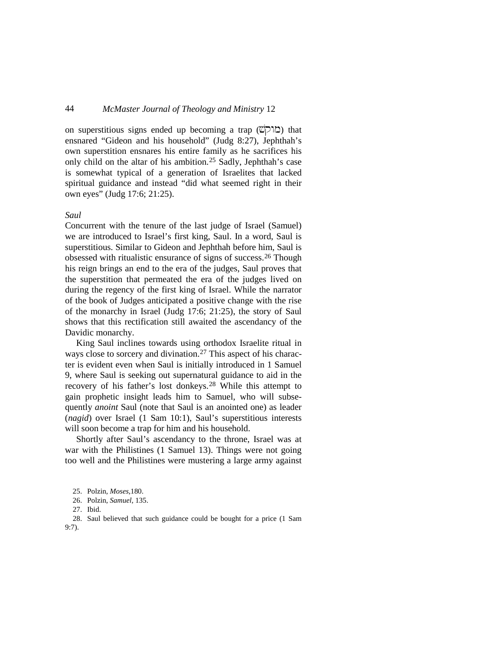on superstitious signs ended up becoming a trap ( $\mathbb{Z}[\nabla]$ ) that ensnared "Gideon and his household" (Judg 8:27), Jephthah's own superstition ensnares his entire family as he sacrifices his only child on the altar of his ambition.[25](#page-11-0) Sadly, Jephthah's case is somewhat typical of a generation of Israelites that lacked spiritual guidance and instead "did what seemed right in their own eyes" (Judg 17:6; 21:25).

#### *Saul*

Concurrent with the tenure of the last judge of Israel (Samuel) we are introduced to Israel's first king, Saul. In a word, Saul is superstitious. Similar to Gideon and Jephthah before him, Saul is obsessed with ritualistic ensurance of signs of success.[26](#page-11-1) Though his reign brings an end to the era of the judges, Saul proves that the superstition that permeated the era of the judges lived on during the regency of the first king of Israel. While the narrator of the book of Judges anticipated a positive change with the rise of the monarchy in Israel (Judg 17:6; 21:25), the story of Saul shows that this rectification still awaited the ascendancy of the Davidic monarchy.

King Saul inclines towards using orthodox Israelite ritual in ways close to sorcery and divination.<sup>[27](#page-11-2)</sup> This aspect of his character is evident even when Saul is initially introduced in 1 Samuel 9, where Saul is seeking out supernatural guidance to aid in the recovery of his father's lost donkeys.<sup>[28](#page-12-0)</sup> While this attempt to gain prophetic insight leads him to Samuel, who will subsequently *anoint* Saul (note that Saul is an anointed one) as leader (*nagid*) over Israel (1 Sam 10:1), Saul's superstitious interests will soon become a trap for him and his household.

Shortly after Saul's ascendancy to the throne, Israel was at war with the Philistines (1 Samuel 13). Things were not going too well and the Philistines were mustering a large army against

<span id="page-11-2"></span><span id="page-11-1"></span><span id="page-11-0"></span>28. Saul believed that such guidance could be bought for a price (1 Sam 9:7).

<sup>25.</sup> Polzin, *Moses,*180.

<sup>26.</sup> Polzin, *Samuel,* 135.

<sup>27.</sup> Ibid.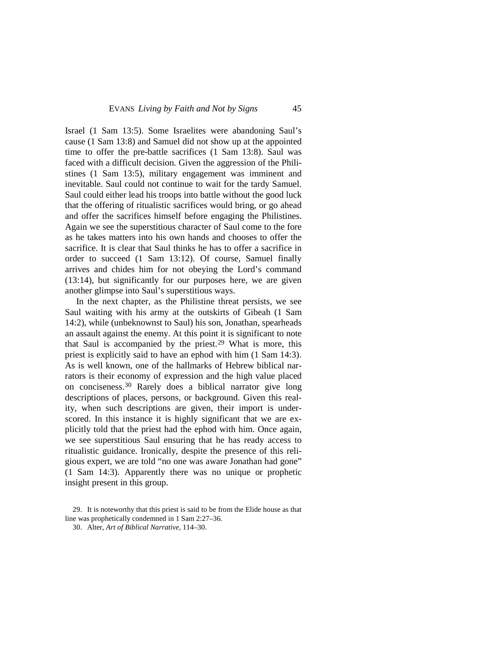Israel (1 Sam 13:5). Some Israelites were abandoning Saul's cause (1 Sam 13:8) and Samuel did not show up at the appointed time to offer the pre-battle sacrifices (1 Sam 13:8). Saul was faced with a difficult decision. Given the aggression of the Philistines (1 Sam 13:5), military engagement was imminent and inevitable. Saul could not continue to wait for the tardy Samuel. Saul could either lead his troops into battle without the good luck that the offering of ritualistic sacrifices would bring, or go ahead and offer the sacrifices himself before engaging the Philistines. Again we see the superstitious character of Saul come to the fore as he takes matters into his own hands and chooses to offer the sacrifice. It is clear that Saul thinks he has to offer a sacrifice in order to succeed (1 Sam 13:12). Of course, Samuel finally arrives and chides him for not obeying the Lord's command (13:14), but significantly for our purposes here, we are given another glimpse into Saul's superstitious ways.

In the next chapter, as the Philistine threat persists, we see Saul waiting with his army at the outskirts of Gibeah (1 Sam 14:2), while (unbeknownst to Saul) his son, Jonathan, spearheads an assault against the enemy. At this point it is significant to note that Saul is accompanied by the priest.<sup>[29](#page-12-1)</sup> What is more, this priest is explicitly said to have an ephod with him (1 Sam 14:3). As is well known, one of the hallmarks of Hebrew biblical narrators is their economy of expression and the high value placed on conciseness.[30](#page-13-0) Rarely does a biblical narrator give long descriptions of places, persons, or background. Given this reality, when such descriptions are given, their import is underscored. In this instance it is highly significant that we are explicitly told that the priest had the ephod with him. Once again, we see superstitious Saul ensuring that he has ready access to ritualistic guidance. Ironically, despite the presence of this religious expert, we are told "no one was aware Jonathan had gone" (1 Sam 14:3). Apparently there was no unique or prophetic insight present in this group.

<span id="page-12-1"></span><span id="page-12-0"></span><sup>29.</sup> It is noteworthy that this priest is said to be from the Elide house as that line was prophetically condemned in 1 Sam 2:27–36.

<sup>30.</sup> Alter, *Art of Biblical Narrative*, 114–30.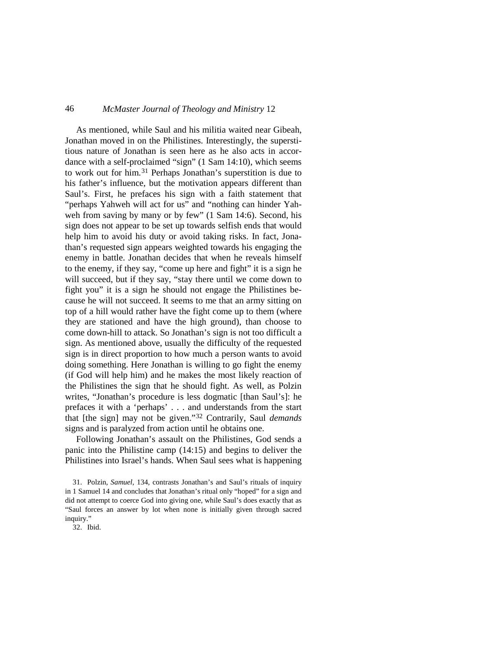As mentioned, while Saul and his militia waited near Gibeah, Jonathan moved in on the Philistines. Interestingly, the superstitious nature of Jonathan is seen here as he also acts in accordance with a self-proclaimed "sign" (1 Sam 14:10), which seems to work out for him.[31](#page-13-1) Perhaps Jonathan's superstition is due to his father's influence, but the motivation appears different than Saul's. First, he prefaces his sign with a faith statement that "perhaps Yahweh will act for us" and "nothing can hinder Yahweh from saving by many or by few" (1 Sam 14:6). Second, his sign does not appear to be set up towards selfish ends that would help him to avoid his duty or avoid taking risks. In fact, Jonathan's requested sign appears weighted towards his engaging the enemy in battle. Jonathan decides that when he reveals himself to the enemy, if they say, "come up here and fight" it is a sign he will succeed, but if they say, "stay there until we come down to fight you" it is a sign he should not engage the Philistines because he will not succeed. It seems to me that an army sitting on top of a hill would rather have the fight come up to them (where they are stationed and have the high ground), than choose to come down-hill to attack. So Jonathan's sign is not too difficult a sign. As mentioned above, usually the difficulty of the requested sign is in direct proportion to how much a person wants to avoid doing something. Here Jonathan is willing to go fight the enemy (if God will help him) and he makes the most likely reaction of the Philistines the sign that he should fight. As well, as Polzin writes, "Jonathan's procedure is less dogmatic [than Saul's]: he prefaces it with a 'perhaps' . . . and understands from the start that [the sign] may not be given."[32](#page-14-0) Contrarily, Saul *demands* signs and is paralyzed from action until he obtains one.

Following Jonathan's assault on the Philistines, God sends a panic into the Philistine camp (14:15) and begins to deliver the Philistines into Israel's hands. When Saul sees what is happening

<span id="page-13-0"></span>32. Ibid.

<span id="page-13-1"></span><sup>31.</sup> Polzin, *Samuel*, 134, contrasts Jonathan's and Saul's rituals of inquiry in 1 Samuel 14 and concludes that Jonathan's ritual only "hoped" for a sign and did not attempt to coerce God into giving one, while Saul's does exactly that as "Saul forces an answer by lot when none is initially given through sacred inquiry."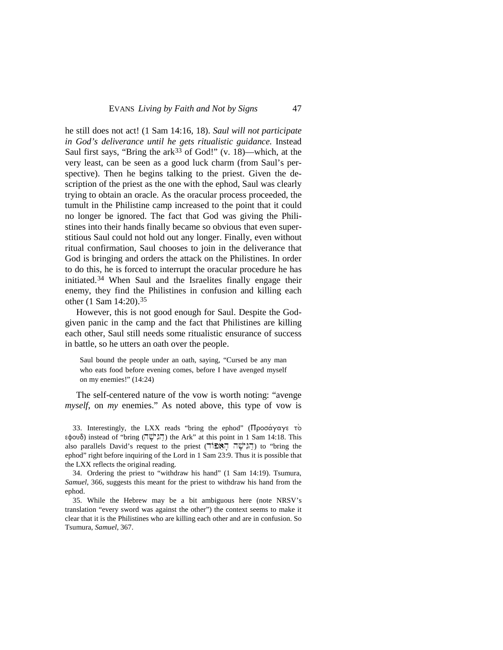he still does not act! (1 Sam 14:16, 18). *Saul will not participate in God's deliverance until he gets ritualistic guidance.* Instead Saul first says, "Bring the ark<sup>[33](#page-14-1)</sup> of God!" (v. 18)—which, at the very least, can be seen as a good luck charm (from Saul's perspective). Then he begins talking to the priest. Given the description of the priest as the one with the ephod, Saul was clearly trying to obtain an oracle. As the oracular process proceeded, the tumult in the Philistine camp increased to the point that it could no longer be ignored. The fact that God was giving the Philistines into their hands finally became so obvious that even superstitious Saul could not hold out any longer. Finally, even without ritual confirmation, Saul chooses to join in the deliverance that God is bringing and orders the attack on the Philistines. In order to do this, he is forced to interrupt the oracular procedure he has initiated.[34](#page-14-2) When Saul and the Israelites finally engage their enemy, they find the Philistines in confusion and killing each other (1 Sam 14:20).[35](#page-15-0)

However, this is not good enough for Saul. Despite the Godgiven panic in the camp and the fact that Philistines are killing each other, Saul still needs some ritualistic ensurance of success in battle, so he utters an oath over the people.

Saul bound the people under an oath, saying, "Cursed be any man who eats food before evening comes, before I have avenged myself on my enemies!" (14:24)

The self-centered nature of the vow is worth noting: "avenge *myself*, on *my* enemies." As noted above, this type of vow is

<span id="page-14-1"></span>33. Interestingly, the LXX reads "bring the ephod" (Προσάγαγε το  $\varepsilon \phi$ e $\delta$ ) instead of "bring  $(\overline{\psi}^{\prime\prime}\overline{\psi})$  the Ark" at this point in 1 Sam 14:18. This also parallels David's request to the priest (הֵגְיֹשָׁה הַאֲפּוֹה) to "bring the ephod" right before inquiring of the Lord in 1 Sam 23:9. Thus it is possible that the LXX reflects the original reading.

<span id="page-14-2"></span>34. Ordering the priest to "withdraw his hand" (1 Sam 14:19). Tsumura, *Samuel*, 366, suggests this meant for the priest to withdraw his hand from the ephod.

<span id="page-14-0"></span>35. While the Hebrew may be a bit ambiguous here (note NRSV's translation "every sword was against the other") the context seems to make it clear that it is the Philistines who are killing each other and are in confusion. So Tsumura, *Samuel*, 367.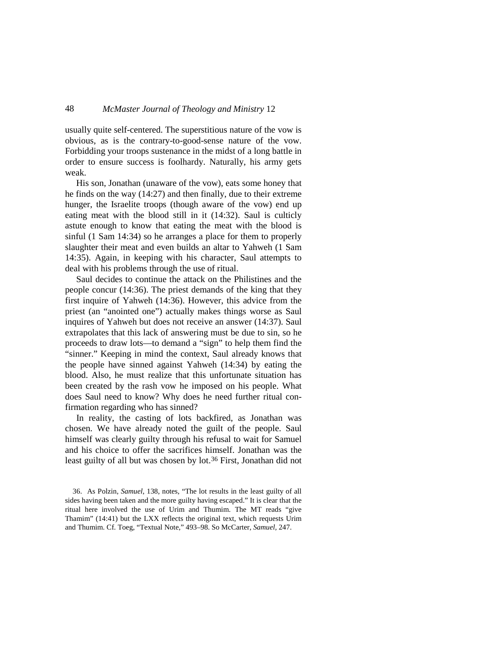usually quite self-centered. The superstitious nature of the vow is obvious, as is the contrary-to-good-sense nature of the vow. Forbidding your troops sustenance in the midst of a long battle in order to ensure success is foolhardy. Naturally, his army gets weak.

His son, Jonathan (unaware of the vow), eats some honey that he finds on the way (14:27) and then finally, due to their extreme hunger, the Israelite troops (though aware of the vow) end up eating meat with the blood still in it (14:32). Saul is culticly astute enough to know that eating the meat with the blood is sinful (1 Sam 14:34) so he arranges a place for them to properly slaughter their meat and even builds an altar to Yahweh (1 Sam 14:35). Again, in keeping with his character, Saul attempts to deal with his problems through the use of ritual.

Saul decides to continue the attack on the Philistines and the people concur (14:36). The priest demands of the king that they first inquire of Yahweh (14:36). However, this advice from the priest (an "anointed one") actually makes things worse as Saul inquires of Yahweh but does not receive an answer (14:37). Saul extrapolates that this lack of answering must be due to sin, so he proceeds to draw lots—to demand a "sign" to help them find the "sinner." Keeping in mind the context, Saul already knows that the people have sinned against Yahweh (14:34) by eating the blood. Also, he must realize that this unfortunate situation has been created by the rash vow he imposed on his people. What does Saul need to know? Why does he need further ritual confirmation regarding who has sinned?

In reality, the casting of lots backfired, as Jonathan was chosen. We have already noted the guilt of the people. Saul himself was clearly guilty through his refusal to wait for Samuel and his choice to offer the sacrifices himself. Jonathan was the least guilty of all but was chosen by lot.<sup>[36](#page-16-0)</sup> First, Jonathan did not

<span id="page-15-0"></span><sup>36.</sup> As Polzin, *Samuel*, 138, notes, "The lot results in the least guilty of all sides having been taken and the more guilty having escaped." It is clear that the ritual here involved the use of Urim and Thumim. The MT reads "give Thamim" (14:41) but the LXX reflects the original text, which requests Urim and Thumim. Cf. Toeg, "Textual Note," 493–98. So McCarter, *Samuel,* 247.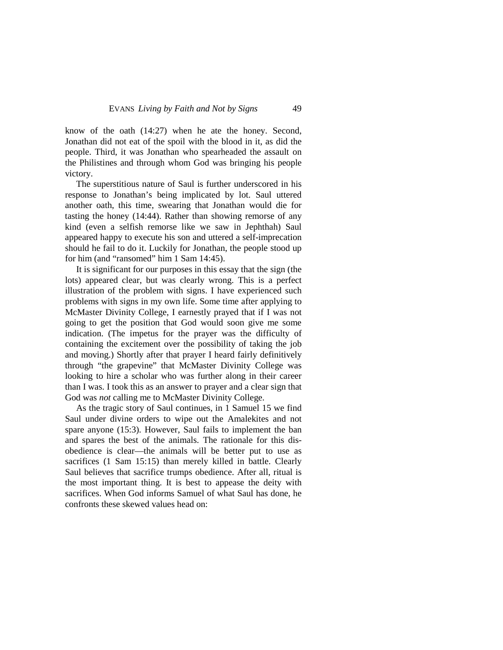know of the oath (14:27) when he ate the honey. Second, Jonathan did not eat of the spoil with the blood in it, as did the people. Third, it was Jonathan who spearheaded the assault on the Philistines and through whom God was bringing his people victory.

The superstitious nature of Saul is further underscored in his response to Jonathan's being implicated by lot. Saul uttered another oath, this time, swearing that Jonathan would die for tasting the honey (14:44). Rather than showing remorse of any kind (even a selfish remorse like we saw in Jephthah) Saul appeared happy to execute his son and uttered a self-imprecation should he fail to do it. Luckily for Jonathan, the people stood up for him (and "ransomed" him 1 Sam 14:45).

It is significant for our purposes in this essay that the sign (the lots) appeared clear, but was clearly wrong. This is a perfect illustration of the problem with signs. I have experienced such problems with signs in my own life. Some time after applying to McMaster Divinity College, I earnestly prayed that if I was not going to get the position that God would soon give me some indication. (The impetus for the prayer was the difficulty of containing the excitement over the possibility of taking the job and moving.) Shortly after that prayer I heard fairly definitively through "the grapevine" that McMaster Divinity College was looking to hire a scholar who was further along in their career than I was. I took this as an answer to prayer and a clear sign that God was *not* calling me to McMaster Divinity College.

<span id="page-16-0"></span>As the tragic story of Saul continues, in 1 Samuel 15 we find Saul under divine orders to wipe out the Amalekites and not spare anyone (15:3). However, Saul fails to implement the ban and spares the best of the animals. The rationale for this disobedience is clear—the animals will be better put to use as sacrifices (1 Sam 15:15) than merely killed in battle. Clearly Saul believes that sacrifice trumps obedience. After all, ritual is the most important thing. It is best to appease the deity with sacrifices. When God informs Samuel of what Saul has done, he confronts these skewed values head on: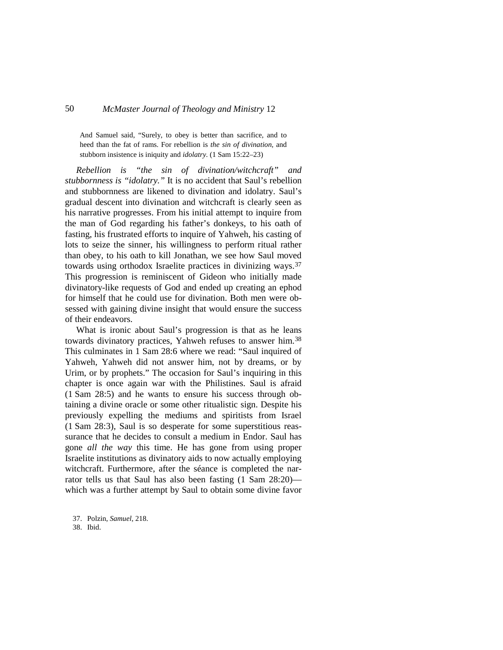And Samuel said, "Surely, to obey is better than sacrifice, and to heed than the fat of rams. For rebellion is *the sin of divination*, and stubborn insistence is iniquity and *idolatry*. (1 Sam 15:22–23)

*Rebellion is "the sin of divination/witchcraft" and stubbornness is "idolatry."* It is no accident that Saul's rebellion and stubbornness are likened to divination and idolatry. Saul's gradual descent into divination and witchcraft is clearly seen as his narrative progresses. From his initial attempt to inquire from the man of God regarding his father's donkeys, to his oath of fasting, his frustrated efforts to inquire of Yahweh, his casting of lots to seize the sinner, his willingness to perform ritual rather than obey, to his oath to kill Jonathan, we see how Saul moved towards using orthodox Israelite practices in divinizing ways.[37](#page-17-0) This progression is reminiscent of Gideon who initially made divinatory-like requests of God and ended up creating an ephod for himself that he could use for divination. Both men were obsessed with gaining divine insight that would ensure the success of their endeavors.

What is ironic about Saul's progression is that as he leans towards divinatory practices, Yahweh refuses to answer him.<sup>[38](#page-18-0)</sup> This culminates in 1 Sam 28:6 where we read: "Saul inquired of Yahweh, Yahweh did not answer him, not by dreams, or by Urim, or by prophets." The occasion for Saul's inquiring in this chapter is once again war with the Philistines. Saul is afraid (1 Sam 28:5) and he wants to ensure his success through obtaining a divine oracle or some other ritualistic sign. Despite his previously expelling the mediums and spiritists from Israel (1 Sam 28:3), Saul is so desperate for some superstitious reassurance that he decides to consult a medium in Endor. Saul has gone *all the way* this time. He has gone from using proper Israelite institutions as divinatory aids to now actually employing witchcraft. Furthermore, after the séance is completed the narrator tells us that Saul has also been fasting (1 Sam 28:20) which was a further attempt by Saul to obtain some divine favor

<span id="page-17-0"></span>37. Polzin, *Samuel*, 218.

38. Ibid.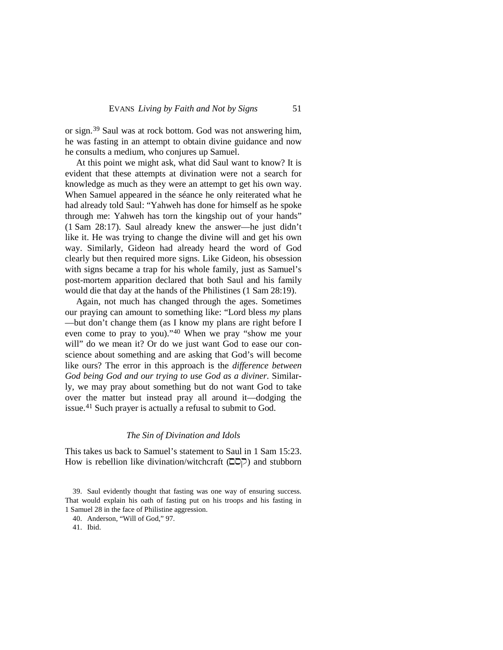or sign.[39](#page-18-1) Saul was at rock bottom. God was not answering him, he was fasting in an attempt to obtain divine guidance and now he consults a medium, who conjures up Samuel.

At this point we might ask, what did Saul want to know? It is evident that these attempts at divination were not a search for knowledge as much as they were an attempt to get his own way. When Samuel appeared in the séance he only reiterated what he had already told Saul: "Yahweh has done for himself as he spoke through me: Yahweh has torn the kingship out of your hands" (1 Sam 28:17). Saul already knew the answer—he just didn't like it. He was trying to change the divine will and get his own way. Similarly, Gideon had already heard the word of God clearly but then required more signs. Like Gideon, his obsession with signs became a trap for his whole family, just as Samuel's post-mortem apparition declared that both Saul and his family would die that day at the hands of the Philistines (1 Sam 28:19).

Again, not much has changed through the ages. Sometimes our praying can amount to something like: "Lord bless *my* plans —but don't change them (as I know my plans are right before I even come to pray to you).["40](#page-19-0) When we pray "show me your will" do we mean it? Or do we just want God to ease our conscience about something and are asking that God's will become like ours? The error in this approach is the *difference between God being God and our trying to use God as a diviner.* Similarly, we may pray about something but do not want God to take over the matter but instead pray all around it—dodging the issue.[41](#page-19-1) Such prayer is actually a refusal to submit to God.

#### *The Sin of Divination and Idols*

This takes us back to Samuel's statement to Saul in 1 Sam 15:23. How is rebellion like divination/witchcraft  $(D\nabla)$  and stubborn

<span id="page-18-1"></span><sup>39.</sup> Saul evidently thought that fasting was one way of ensuring success. That would explain his oath of fasting put on his troops and his fasting in 1 Samuel 28 in the face of Philistine aggression.

<sup>40.</sup> Anderson, "Will of God," 97.

<span id="page-18-0"></span><sup>41.</sup> Ibid.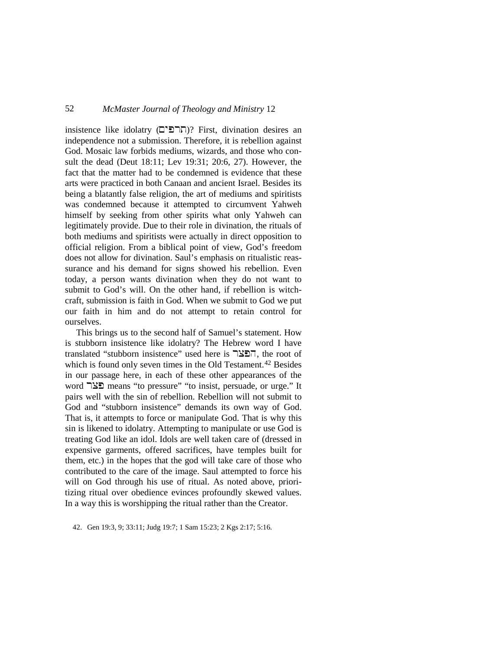$i$ ותרפים)? First, divination desires an independence not a submission. Therefore, it is rebellion against God. Mosaic law forbids mediums, wizards, and those who consult the dead (Deut 18:11; Lev 19:31; 20:6, 27). However, the fact that the matter had to be condemned is evidence that these arts were practiced in both Canaan and ancient Israel. Besides its being a blatantly false religion, the art of mediums and spiritists was condemned because it attempted to circumvent Yahweh himself by seeking from other spirits what only Yahweh can legitimately provide. Due to their role in divination, the rituals of both mediums and spiritists were actually in direct opposition to official religion. From a biblical point of view, God's freedom does not allow for divination. Saul's emphasis on ritualistic reassurance and his demand for signs showed his rebellion. Even today, a person wants divination when they do not want to submit to God's will. On the other hand, if rebellion is witchcraft, submission is faith in God. When we submit to God we put our faith in him and do not attempt to retain control for ourselves.

This brings us to the second half of Samuel's statement. How is stubborn insistence like idolatry? The Hebrew word I have translated "stubborn insistence" used here is  $\exists \Sigma \exists \exists$ , the root of which is found only seven times in the Old Testament.<sup>[42](#page-20-0)</sup> Besides in our passage here, in each of these other appearances of the word "NI" means "to pressure" "to insist, persuade, or urge." It pairs well with the sin of rebellion. Rebellion will not submit to God and "stubborn insistence" demands its own way of God. That is, it attempts to force or manipulate God. That is why this sin is likened to idolatry. Attempting to manipulate or use God is treating God like an idol. Idols are well taken care of (dressed in expensive garments, offered sacrifices, have temples built for them, etc.) in the hopes that the god will take care of those who contributed to the care of the image. Saul attempted to force his will on God through his use of ritual. As noted above, prioritizing ritual over obedience evinces profoundly skewed values. In a way this is worshipping the ritual rather than the Creator.

<span id="page-19-1"></span><span id="page-19-0"></span>42. Gen 19:3, 9; 33:11; Judg 19:7; 1 Sam 15:23; 2 Kgs 2:17; 5:16.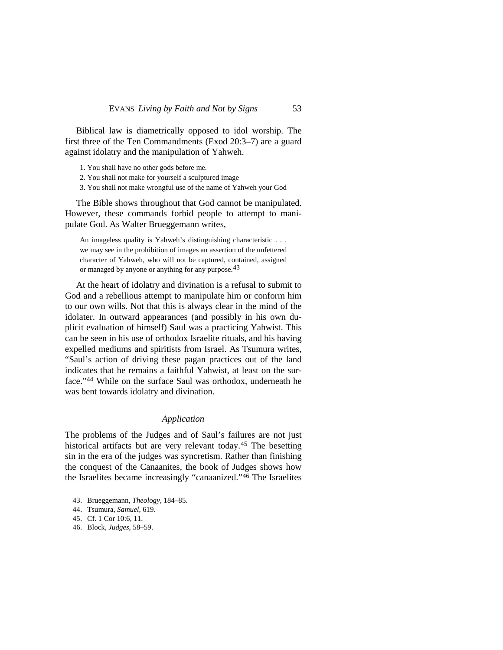Biblical law is diametrically opposed to idol worship. The first three of the Ten Commandments (Exod 20:3–7) are a guard against idolatry and the manipulation of Yahweh.

- 1. You shall have no other gods before me.
- 2. You shall not make for yourself a sculptured image
- 3. You shall not make wrongful use of the name of Yahweh your God

The Bible shows throughout that God cannot be manipulated. However, these commands forbid people to attempt to manipulate God. As Walter Brueggemann writes,

An imageless quality is Yahweh's distinguishing characteristic . . . we may see in the prohibition of images an assertion of the unfettered character of Yahweh, who will not be captured, contained, assigned or managed by anyone or anything for any purpose.<sup>[43](#page-20-1)</sup>

At the heart of idolatry and divination is a refusal to submit to God and a rebellious attempt to manipulate him or conform him to our own wills. Not that this is always clear in the mind of the idolater. In outward appearances (and possibly in his own duplicit evaluation of himself) Saul was a practicing Yahwist. This can be seen in his use of orthodox Israelite rituals, and his having expelled mediums and spiritists from Israel. As Tsumura writes, "Saul's action of driving these pagan practices out of the land indicates that he remains a faithful Yahwist, at least on the surface."[44](#page-21-0) While on the surface Saul was orthodox, underneath he was bent towards idolatry and divination.

#### *Application*

The problems of the Judges and of Saul's failures are not just historical artifacts but are very relevant today.[45](#page-21-1) The besetting sin in the era of the judges was syncretism. Rather than finishing the conquest of the Canaanites, the book of Judges shows how the Israelites became increasingly "canaanized.["46](#page-21-2) The Israelites

- <span id="page-20-1"></span>43. Brueggemann, *Theology*, 184–85.
- 44. Tsumura, *Samuel*, 619.
- 45. Cf. 1 Cor 10:6, 11.
- <span id="page-20-0"></span>46. Block, *Judges*, 58–59.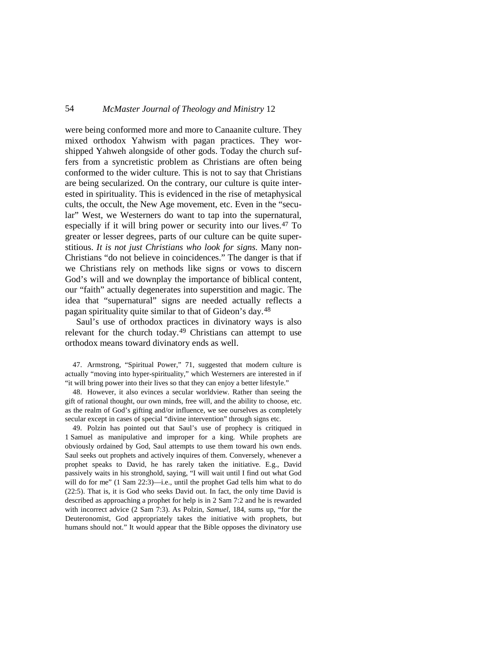were being conformed more and more to Canaanite culture. They mixed orthodox Yahwism with pagan practices. They worshipped Yahweh alongside of other gods. Today the church suffers from a syncretistic problem as Christians are often being conformed to the wider culture. This is not to say that Christians are being secularized. On the contrary, our culture is quite interested in spirituality. This is evidenced in the rise of metaphysical cults, the occult, the New Age movement, etc. Even in the "secular" West, we Westerners do want to tap into the supernatural, especially if it will bring power or security into our lives.[47](#page-21-3) To greater or lesser degrees, parts of our culture can be quite superstitious. *It is not just Christians who look for signs.* Many non-Christians "do not believe in coincidences." The danger is that if we Christians rely on methods like signs or vows to discern God's will and we downplay the importance of biblical content, our "faith" actually degenerates into superstition and magic. The idea that "supernatural" signs are needed actually reflects a pagan spirituality quite similar to that of Gideon's day.[48](#page-22-0)

Saul's use of orthodox practices in divinatory ways is also relevant for the church today.<sup>[49](#page-22-1)</sup> Christians can attempt to use orthodox means toward divinatory ends as well.

<span id="page-21-3"></span>47. Armstrong, "Spiritual Power," 71, suggested that modern culture is actually "moving into hyper-spirituality," which Westerners are interested in if "it will bring power into their lives so that they can enjoy a better lifestyle."

48. However, it also evinces a secular worldview. Rather than seeing the gift of rational thought, our own minds, free will, and the ability to choose, etc. as the realm of God's gifting and/or influence, we see ourselves as completely secular except in cases of special "divine intervention" through signs etc.

<span id="page-21-2"></span><span id="page-21-1"></span><span id="page-21-0"></span>49. Polzin has pointed out that Saul's use of prophecy is critiqued in 1 Samuel as manipulative and improper for a king. While prophets are obviously ordained by God, Saul attempts to use them toward his own ends. Saul seeks out prophets and actively inquires of them. Conversely, whenever a prophet speaks to David, he has rarely taken the initiative. E.g., David passively waits in his stronghold, saying, "I will wait until I find out what God will do for me" (1 Sam 22:3)—i.e., until the prophet Gad tells him what to do (22:5). That is, it is God who seeks David out. In fact, the only time David is described as approaching a prophet for help is in 2 Sam 7:2 and he is rewarded with incorrect advice (2 Sam 7:3). As Polzin, *Samuel*, 184, sums up, "for the Deuteronomist, God appropriately takes the initiative with prophets, but humans should not." It would appear that the Bible opposes the divinatory use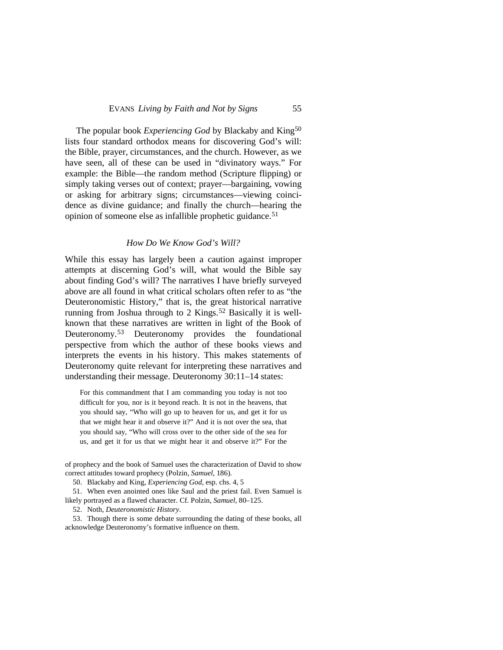The popular book *Experiencing God* by Blackaby and King[50](#page-22-2) lists four standard orthodox means for discovering God's will: the Bible, prayer, circumstances, and the church. However, as we have seen, all of these can be used in "divinatory ways." For example: the Bible—the random method (Scripture flipping) or simply taking verses out of context; prayer—bargaining, vowing or asking for arbitrary signs; circumstances—viewing coincidence as divine guidance; and finally the church—hearing the opinion of someone else as infallible prophetic guidance.<sup>[51](#page-22-3)</sup>

#### *How Do We Know God's Will?*

While this essay has largely been a caution against improper attempts at discerning God's will, what would the Bible say about finding God's will? The narratives I have briefly surveyed above are all found in what critical scholars often refer to as "the Deuteronomistic History," that is, the great historical narrative running from Joshua through to 2 Kings.<sup>[52](#page-23-0)</sup> Basically it is wellknown that these narratives are written in light of the Book of Deuteronomy.<sup>[53](#page-23-1)</sup> Deuteronomy provides the foundational perspective from which the author of these books views and interprets the events in his history. This makes statements of Deuteronomy quite relevant for interpreting these narratives and understanding their message. Deuteronomy 30:11–14 states:

<span id="page-22-0"></span>For this commandment that I am commanding you today is not too difficult for you, nor is it beyond reach. It is not in the heavens, that you should say, "Who will go up to heaven for us, and get it for us that we might hear it and observe it?" And it is not over the sea, that you should say, "Who will cross over to the other side of the sea for us, and get it for us that we might hear it and observe it?" For the

<span id="page-22-1"></span>of prophecy and the book of Samuel uses the characterization of David to show correct attitudes toward prophecy (Polzin, *Samuel*, 186).

50. Blackaby and King, *Experiencing God*, esp. chs. 4, 5

<span id="page-22-3"></span><span id="page-22-2"></span>51. When even anointed ones like Saul and the priest fail. Even Samuel is likely portrayed as a flawed character. Cf. Polzin, *Samuel*, 80–125.

52. Noth, *Deuteronomistic History*.

53. Though there is some debate surrounding the dating of these books, all acknowledge Deuteronomy's formative influence on them.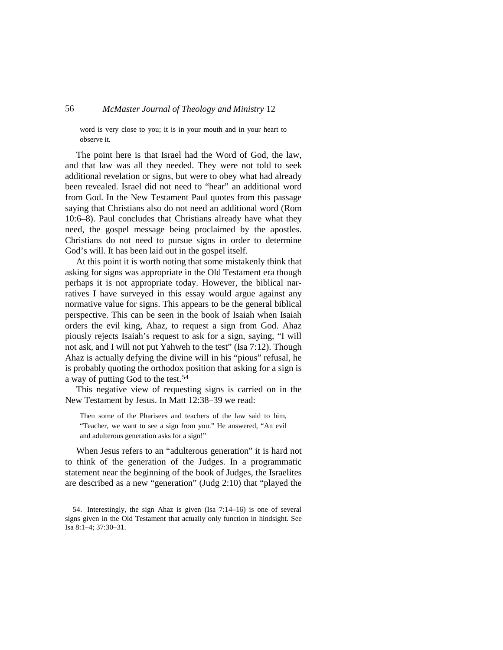word is very close to you; it is in your mouth and in your heart to observe it.

The point here is that Israel had the Word of God, the law, and that law was all they needed. They were not told to seek additional revelation or signs, but were to obey what had already been revealed. Israel did not need to "hear" an additional word from God. In the New Testament Paul quotes from this passage saying that Christians also do not need an additional word (Rom 10:6–8). Paul concludes that Christians already have what they need, the gospel message being proclaimed by the apostles. Christians do not need to pursue signs in order to determine God's will. It has been laid out in the gospel itself.

At this point it is worth noting that some mistakenly think that asking for signs was appropriate in the Old Testament era though perhaps it is not appropriate today. However, the biblical narratives I have surveyed in this essay would argue against any normative value for signs. This appears to be the general biblical perspective. This can be seen in the book of Isaiah when Isaiah orders the evil king, Ahaz, to request a sign from God. Ahaz piously rejects Isaiah's request to ask for a sign, saying, "I will not ask, and I will not put Yahweh to the test" (Isa 7:12). Though Ahaz is actually defying the divine will in his "pious" refusal, he is probably quoting the orthodox position that asking for a sign is a way of putting God to the test[.54](#page-24-0)

This negative view of requesting signs is carried on in the New Testament by Jesus. In Matt 12:38–39 we read:

Then some of the Pharisees and teachers of the law said to him, "Teacher, we want to see a sign from you." He answered, "An evil and adulterous generation asks for a sign!"

When Jesus refers to an "adulterous generation" it is hard not to think of the generation of the Judges. In a programmatic statement near the beginning of the book of Judges, the Israelites are described as a new "generation" (Judg 2:10) that "played the

<span id="page-23-1"></span><span id="page-23-0"></span><sup>54.</sup> Interestingly, the sign Ahaz is given (Isa 7:14–16) is one of several signs given in the Old Testament that actually only function in hindsight. See Isa 8:1–4; 37:30–31.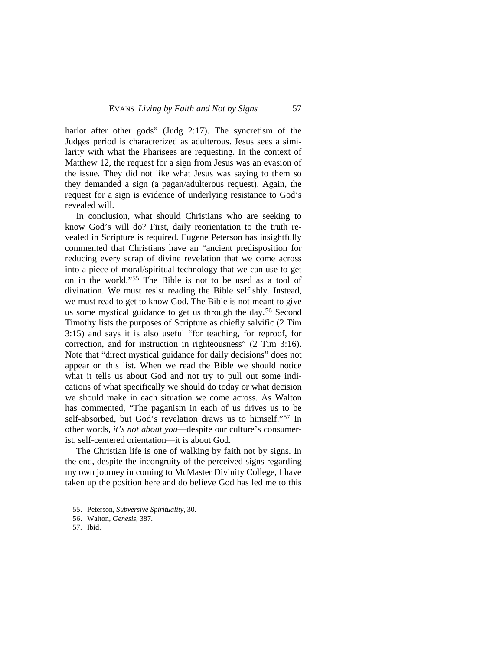harlot after other gods" (Judg 2:17). The syncretism of the Judges period is characterized as adulterous. Jesus sees a similarity with what the Pharisees are requesting. In the context of Matthew 12, the request for a sign from Jesus was an evasion of the issue. They did not like what Jesus was saying to them so they demanded a sign (a pagan/adulterous request). Again, the request for a sign is evidence of underlying resistance to God's revealed will.

In conclusion, what should Christians who are seeking to know God's will do? First, daily reorientation to the truth revealed in Scripture is required. Eugene Peterson has insightfully commented that Christians have an "ancient predisposition for reducing every scrap of divine revelation that we come across into a piece of moral/spiritual technology that we can use to get on in the world."[55](#page-25-0) The Bible is not to be used as a tool of divination. We must resist reading the Bible selfishly. Instead, we must read to get to know God. The Bible is not meant to give us some mystical guidance to get us through the day.[56](#page-25-1) Second Timothy lists the purposes of Scripture as chiefly salvific (2 Tim 3:15) and says it is also useful "for teaching, for reproof, for correction, and for instruction in righteousness" (2 Tim 3:16). Note that "direct mystical guidance for daily decisions" does not appear on this list. When we read the Bible we should notice what it tells us about God and not try to pull out some indications of what specifically we should do today or what decision we should make in each situation we come across. As Walton has commented, "The paganism in each of us drives us to be self-absorbed, but God's revelation draws us to himself."[57](#page-25-2) In other words, *it's not about you*—despite our culture's consumerist, self-centered orientation—it is about God.

The Christian life is one of walking by faith not by signs. In the end, despite the incongruity of the perceived signs regarding my own journey in coming to McMaster Divinity College, I have taken up the position here and do believe God has led me to this

57. Ibid.

<span id="page-24-0"></span><sup>55.</sup> Peterson, *Subversive Spirituality*, 30.

<sup>56.</sup> Walton, *Genesis*, 387.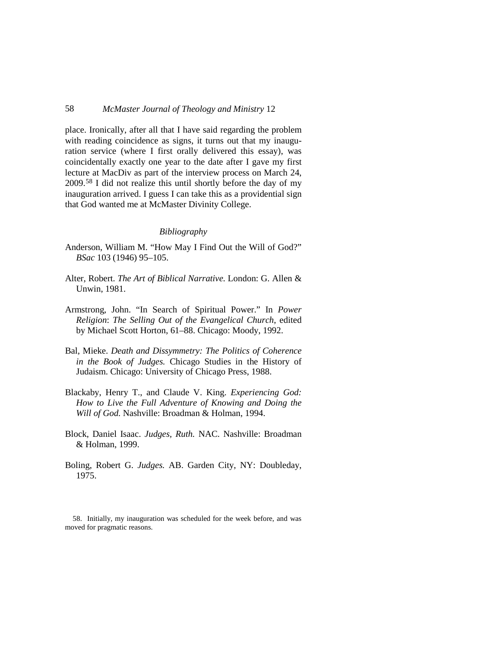place. Ironically, after all that I have said regarding the problem with reading coincidence as signs, it turns out that my inauguration service (where I first orally delivered this essay), was coincidentally exactly one year to the date after I gave my first lecture at MacDiv as part of the interview process on March 24, 2009.[58](#page-25-1) I did not realize this until shortly before the day of my inauguration arrived. I guess I can take this as a providential sign that God wanted me at McMaster Divinity College.

#### *Bibliography*

- Anderson, William M. "How May I Find Out the Will of God?" *BSac* 103 (1946) 95–105.
- Alter, Robert. *The Art of Biblical Narrative.* London: G. Allen & Unwin, 1981.
- Armstrong, John. "In Search of Spiritual Power." In *Power Religion*: *The Selling Out of the Evangelical Church*, edited by Michael Scott Horton, 61–88. Chicago: Moody, 1992.
- Bal, Mieke. *Death and Dissymmetry: The Politics of Coherence in the Book of Judges.* Chicago Studies in the History of Judaism. Chicago: University of Chicago Press, 1988.
- Blackaby, Henry T., and Claude V. King. *Experiencing God: How to Live the Full Adventure of Knowing and Doing the Will of God.* Nashville: Broadman & Holman, 1994.
- Block, Daniel Isaac. *Judges, Ruth.* NAC. Nashville: Broadman & Holman, 1999.
- Boling, Robert G. *Judges.* AB. Garden City, NY: Doubleday, 1975.

<span id="page-25-2"></span><span id="page-25-1"></span><span id="page-25-0"></span>58. Initially, my inauguration was scheduled for the week before, and was moved for pragmatic reasons.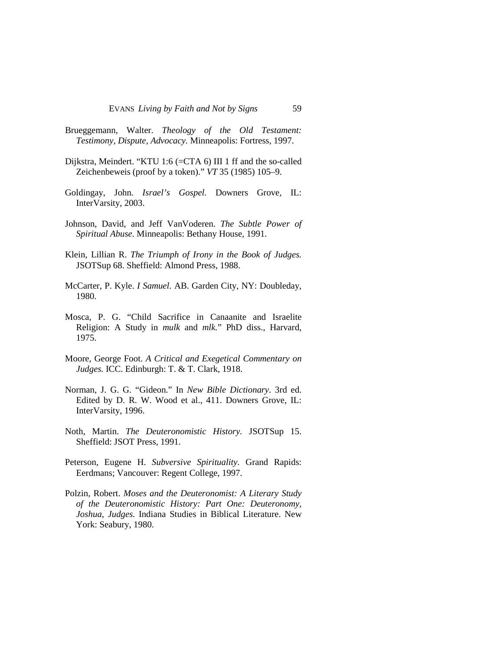- Brueggemann, Walter. *Theology of the Old Testament: Testimony, Dispute, Advocacy.* Minneapolis: Fortress, 1997.
- Dijkstra, Meindert. "KTU 1:6 (=CTA 6) III 1 ff and the so-called Zeichenbeweis (proof by a token)." *VT* 35 (1985) 105–9.
- Goldingay, John. *Israel's Gospel.* Downers Grove, IL: InterVarsity, 2003.
- Johnson, David, and Jeff VanVoderen. *The Subtle Power of Spiritual Abuse.* Minneapolis: Bethany House, 1991.
- Klein, Lillian R. *The Triumph of Irony in the Book of Judges.* JSOTSup 68. Sheffield: Almond Press, 1988.
- McCarter, P. Kyle. *I Samuel.* AB. Garden City, NY: Doubleday, 1980.
- Mosca, P. G. "Child Sacrifice in Canaanite and Israelite Religion: A Study in *mulk* and *mlk.*" PhD diss., Harvard, 1975.
- Moore, George Foot. *A Critical and Exegetical Commentary on Judges.* ICC. Edinburgh: T. & T. Clark, 1918.
- Norman, J. G. G. "Gideon." In *New Bible Dictionary*. 3rd ed. Edited by D. R. W. Wood et al., 411. Downers Grove, IL: InterVarsity, 1996.
- Noth, Martin. *The Deuteronomistic History.* JSOTSup 15. Sheffield: JSOT Press, 1991.
- Peterson, Eugene H. *Subversive Spirituality.* Grand Rapids: Eerdmans; Vancouver: Regent College, 1997.
- Polzin, Robert. *Moses and the Deuteronomist: A Literary Study of the Deuteronomistic History: Part One: Deuteronomy, Joshua, Judges.* Indiana Studies in Biblical Literature. New York: Seabury, 1980.